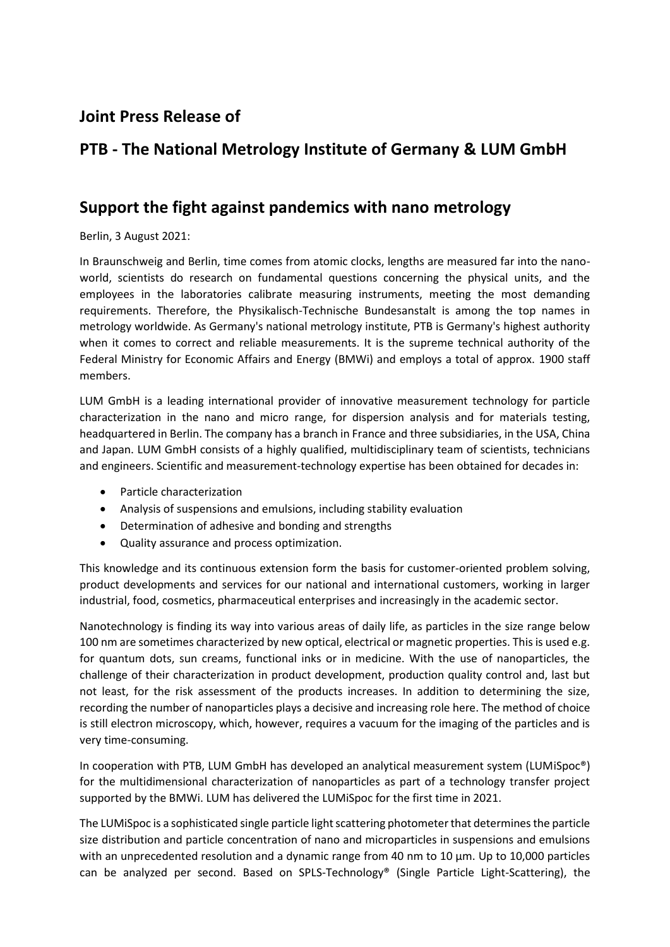## **Joint Press Release of**

## **PTB - The National Metrology Institute of Germany & LUM GmbH**

## **Support the fight against pandemics with nano metrology**

Berlin, 3 August 2021:

In Braunschweig and Berlin, time comes from atomic clocks, lengths are measured far into the nanoworld, scientists do research on fundamental questions concerning the physical units, and the employees in the laboratories calibrate measuring instruments, meeting the most demanding requirements. Therefore, the Physikalisch-Technische Bundesanstalt is among the top names in metrology worldwide. As Germany's national metrology institute, PTB is Germany's highest authority when it comes to correct and reliable measurements. It is the supreme technical authority of the Federal Ministry for Economic Affairs and Energy (BMWi) and employs a total of approx. 1900 staff members.

LUM GmbH is a leading international provider of innovative measurement technology for particle characterization in the nano and micro range, for dispersion analysis and for materials testing, headquartered in Berlin. The company has a branch in France and three subsidiaries, in the USA, China and Japan. LUM GmbH consists of a highly qualified, multidisciplinary team of scientists, technicians and engineers. Scientific and measurement-technology expertise has been obtained for decades in:

- Particle characterization
- Analysis of suspensions and emulsions, including stability evaluation
- Determination of adhesive and bonding and strengths
- Quality assurance and process optimization.

This knowledge and its continuous extension form the basis for customer-oriented problem solving, product developments and services for our national and international customers, working in larger industrial, food, cosmetics, pharmaceutical enterprises and increasingly in the academic sector.

Nanotechnology is finding its way into various areas of daily life, as particles in the size range below 100 nm are sometimes characterized by new optical, electrical or magnetic properties. This is used e.g. for quantum dots, sun creams, functional inks or in medicine. With the use of nanoparticles, the challenge of their characterization in product development, production quality control and, last but not least, for the risk assessment of the products increases. In addition to determining the size, recording the number of nanoparticles plays a decisive and increasing role here. The method of choice is still electron microscopy, which, however, requires a vacuum for the imaging of the particles and is very time-consuming.

In cooperation with PTB, LUM GmbH has developed an analytical measurement system (LUMiSpoc®) for the multidimensional characterization of nanoparticles as part of a technology transfer project supported by the BMWi. LUM has delivered the LUMiSpoc for the first time in 2021.

The LUMiSpoc is a sophisticated single particle light scattering photometer that determines the particle size distribution and particle concentration of nano and microparticles in suspensions and emulsions with an unprecedented resolution and a dynamic range from 40 nm to 10 µm. Up to 10,000 particles can be analyzed per second. Based on SPLS-Technology® (Single Particle Light-Scattering), the